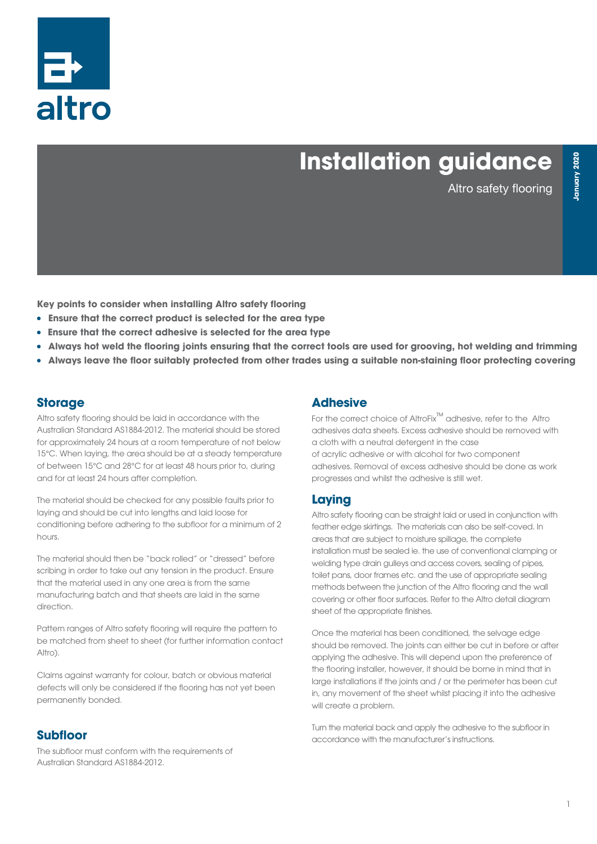

# **Installation guidance**

Altro safety flooring

**Key points to consider when installing Altro safety flooring**

- **Ensure that the correct product is selected for the area type**
- <sup>l</sup> **Ensure that the correct adhesive is selected for the area type**
- <sup>l</sup> **Always hot weld the flooring joints ensuring that the correct tools are used for grooving, hot welding and trimming**
- <sup>l</sup> **Always leave the floor suitably protected from other trades using a suitable non-staining floor protecting covering**

## **Storage**

Altro safety flooring should be laid in accordance with the Australian Standard AS1884-2012. The material should be stored for approximately 24 hours at a room temperature of not below 15°C. When laying, the area should be at a steady temperature of between 15°C and 28°C for at least 48 hours prior to, during and for at least 24 hours after completion.

The material should be checked for any possible faults prior to laying and should be cut into lengths and laid loose for conditioning before adhering to the subfloor for a minimum of 2 hours.

The material should then be "back rolled" or "dressed" before scribing in order to take out any tension in the product. Ensure that the material used in any one area is from the same manufacturing batch and that sheets are laid in the same direction.

Pattern ranges of Altro safety flooring will require the pattern to be matched from sheet to sheet (for further information contact Altro).

Claims against warranty for colour, batch or obvious material defects will only be considered if the flooring has not yet been permanently bonded.

#### **Subfloor**

The subfloor must conform with the requirements of Australian Standard AS1884-2012.

## **Adhesive**

For the correct choice of AltroFix™ adhesive, refer to the Altro adhesives data sheets. Excess adhesive should be removed with a cloth with a neutral detergent in the case of acrylic adhesive or with alcohol for two component adhesives. Removal of excess adhesive should be done as work progresses and whilst the adhesive is still wet.

#### **Laying**

Altro safety flooring can be straight laid or used in conjunction with feather edge skirtings. The materials can also be self-coved. In areas that are subject to moisture spillage, the complete installation must be sealed ie. the use of conventional clamping or welding type drain gulleys and access covers, sealing of pipes, toilet pans, door frames etc. and the use of appropriate sealing methods between the junction of the Altro flooring and the wall covering or other floor surfaces. Refer to the Altro detail diagram sheet of the appropriate finishes.

Once the material has been conditioned, the selvage edge should be removed. The joints can either be cut in before or after applying the adhesive. This will depend upon the preference of the flooring installer, however, it should be borne in mind that in large installations if the joints and / or the perimeter has been cut in, any movement of the sheet whilst placing it into the adhesive will create a problem.

Turn the material back and apply the adhesive to the subfloor in accordance with the manufacturer's instructions.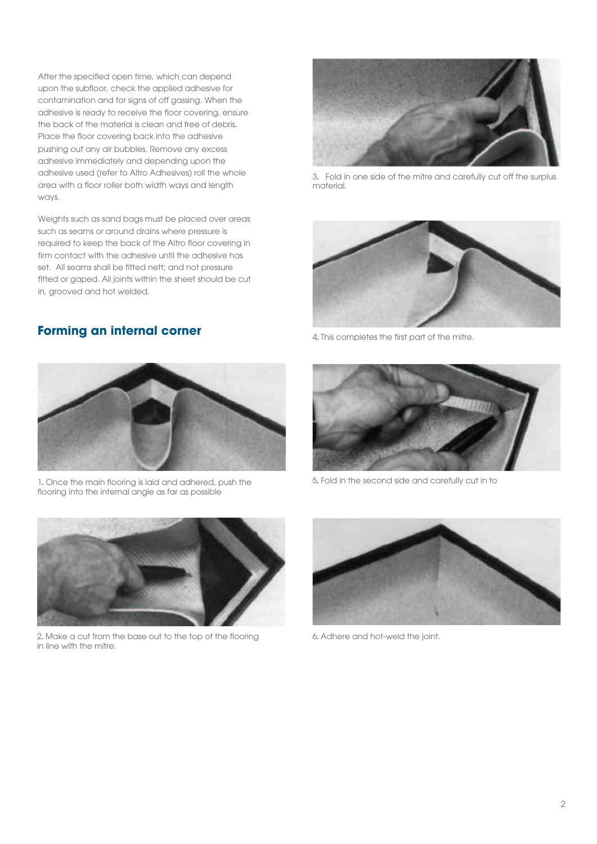After the specified open time, which can depend upon the subfloor, check the applied adhesive for contamination and for signs of off gassing. When the adhesive is ready to receive the floor covering, ensure the back of the material is clean and free of debris. Place the floor covering back into the adhesive pushing out any air bubbles. Remove any excess adhesive immediately and depending upon the adhesive used (refer to Altro Adhesives) roll the whole area with a floor roller both width ways and length ways.

Weights such as sand bags must be placed over areas such as seams or around drains where pressure is required to keep the back of the Altro floor covering in firm contact with the adhesive until the adhesive has set. All seams shall be fitted nett; and not pressure fitted or gaped. All joints within the sheet should be cut in, grooved and hot welded.

#### **Forming an internal corner**



3.. Fold in one side of the mitre and carefully cut off the surplus material.



4. This completes the first part of the mitre.



1. Once the main flooring is laid and adhered, push the flooring into the internal angle as far as possible



5.. Fold in the second side and carefully cut in to



2.. Make a cut from the base out to the top of the flooring in line with the mitre.



6.. Adhere and hot-weld the joint.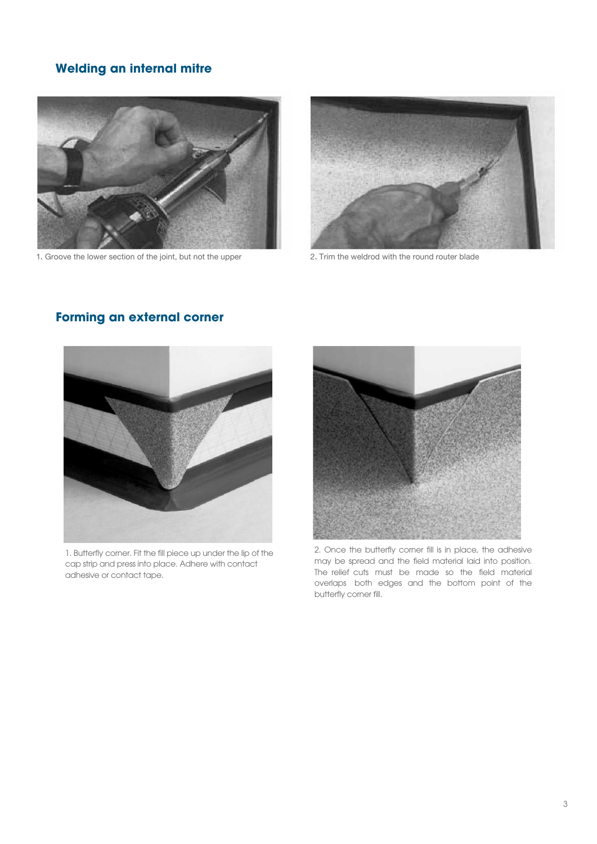# **Welding an internal mitre**



1. Groove the lower section of the joint, but not the upper 2. Trim the weldrod with the round router blade





1. Butterfly corner. Fit the fill piece up under the lip of the cap strip and press into place. Adhere with contact adhesive or contact tape.



2. Once the butterfly corner fill is in place, the adhesive may be spread and the field material laid into position. The relief cuts must be made so the field material overlaps both edges and the bottom point of the butterfly corner fill.

# **Forming an external corner**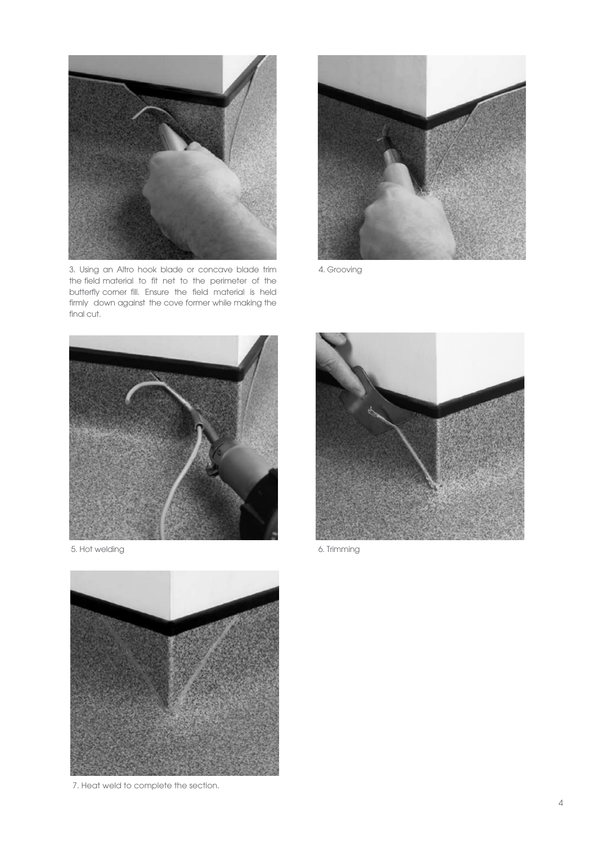

3. Using an Altro hook blade or concave blade trim the field material to fit net to the perimeter of the butterfly corner fill. Ensure the field material is held firmly down against the cove former while making the final cut.



4. Grooving









7. Heat weld to complete the section.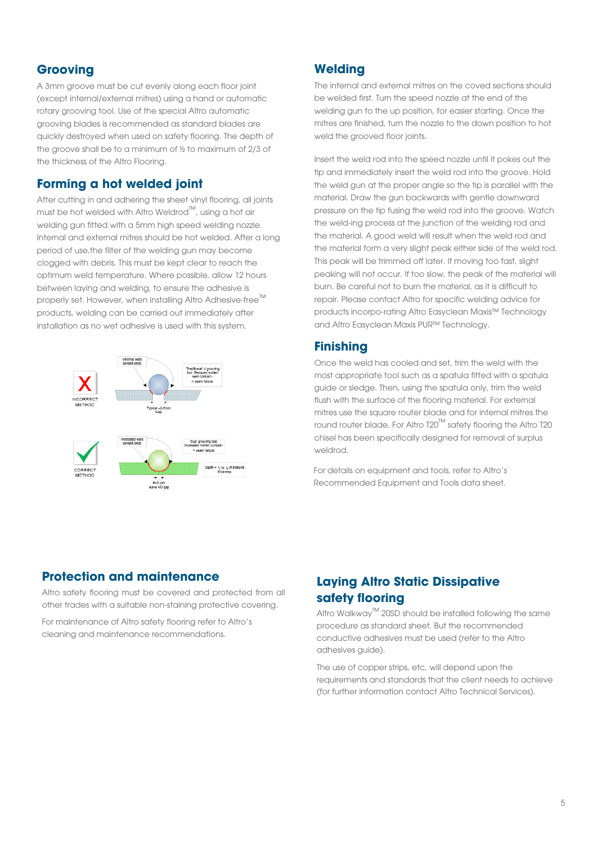## **Grooving**

A 3mm groove must be cut evenly along each floor joint (except internal/external mitres) using a hand or automatic rotary grooving tool. Use of the special Altro automatic grooving blades is recommended as standard blades are quickly destroyed when used on safety flooring. The depth of the groove shall be to a minimum of ½ to maximum of 2/3 of the thickness of the Altro Flooring.

#### **Forming a hot welded joint**

After cutting in and adhering the sheet vinyl flooring, all joints must be hot welded with Altro Weldrod™, using a hot air welding gun fitted with a 5mm high speed welding nozzle. Internal and external mitres should be hot welded. After a long period of use,the filter of the welding gun may become clogged with debris. This must be kept clear to reach the optimum weld temperature. Where possible, allow 12 hours between laying and welding, to ensure the adhesive is properly set. However, when installing Altro Adhesive-free<sup>™</sup> products, welding can be carried out immediately after installation as no wet adhesive is used with this system.



# **Welding**

The internal and external mitres on the coved sections should be welded first. Turn the speed nozzle at the end of the welding gun to the up position, for easier starting. Once the mitres are finished, turn the nozzle to the down position to hot weld the grooved floor joints.

Insert the weld rod into the speed nozzle until it pokes out the tip and immediately insert the weld rod into the groove. Hold the weld gun at the proper angle so the tip is parallel with the material. Draw the gun backwards with gentle downward pressure on the tip fusing the weld rod into the groove. Watch the weld-ing process at the junction of the welding rod and the material. A good weld will result when the weld rod and the material form a very slight peak either side of the weld rod. This peak will be trimmed off later. If moving too fast, slight peaking will not occur. If too slow, the peak of the material will burn. Be careful not to burn the material, as it is difficult to repair. Please contact Altro for specific welding advice for products incorpo-rating Altro Easyclean Maxis™ Technology and Altro Easyclean Maxis PUR™ Technology.

#### **Finishing**

Once the weld has cooled and set, trim the weld with the most appropriate tool such as a spatula fitted with a spatula guide or sledge. Then, using the spatula only, trim the weld flush with the surface of the flooring material. For external mitres use the square router blade and for internal mitres the round router blade. For Altro T20™ safety flooring the Altro T20 chisel has been specifically designed for removal of surplus weldrod.

For details on equipment and tools, refer to Altro's Recommended Equipment and Tools data sheet.

#### **Protection and maintenance**

Altro safety flooring must be covered and protected from all other trades with a suitable non-staining protective covering.

For maintenance of Altro safety flooring refer to Altro's cleaning and maintenance recommendations.

# **Laying Altro Static Dissipative safety flooring**

Altro Walkway™ 20SD should be installed following the same procedure as standard sheet. But the recommended conductive adhesives must be used (refer to the Altro adhesives guide).

The use of copper strips, etc, will depend upon the requirements and standards that the client needs to achieve (for further information contact Altro Technical Services).